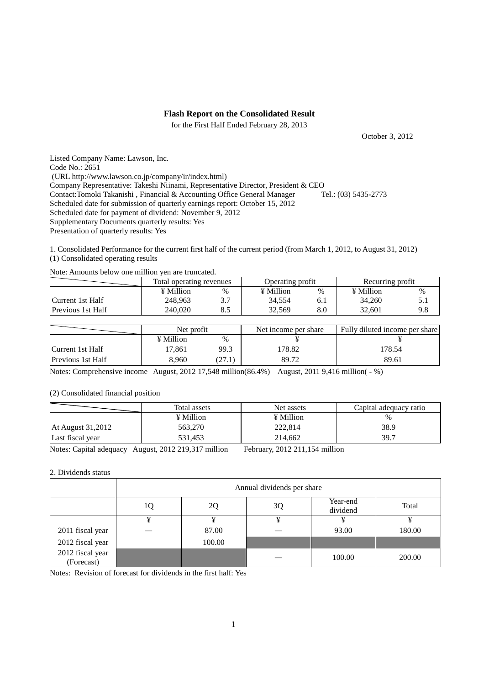### **Flash Report on the Consolidated Result**

for the First Half Ended February 28, 2013

October 3, 2012

Listed Company Name: Lawson, Inc. Code No.: 2651 (URL http://www.lawson.co.jp/company/ir/index.html) Company Representative: Takeshi Niinami, Representative Director, President & CEO<br>Contact: Tomoki Takanishi, Financial & Accounting Office General Manager Tel.: (03) 5435-2773 Contact:Tomoki Takanishi , Financial & Accounting Office General Manager Scheduled date for submission of quarterly earnings report: October 15, 2012 Scheduled date for payment of dividend: November 9, 2012 Supplementary Documents quarterly results: Yes Presentation of quarterly results: Yes

1. Consolidated Performance for the current first half of the current period (from March 1, 2012, to August 31, 2012) (1) Consolidated operating results

Note: Amounts below one million yen are truncated.

|                   | Total operating revenues |      | Operating profit |     | Recurring profit |      |
|-------------------|--------------------------|------|------------------|-----|------------------|------|
|                   | $\angle$ Million         | $\%$ | $\angle$ Million | %   | $\angle$ Million | $\%$ |
| Current 1st Half  | 248.963                  | 3.7  | 34.554           | 0.1 | 34,260           |      |
| Previous 1st Half | 240,020                  | ن. ن | 32.569           | 8.C | 32.601           |      |

|                          | Net profit |                 | Net income per share | Fully diluted income per share |  |
|--------------------------|------------|-----------------|----------------------|--------------------------------|--|
|                          | ¥ Million  | $\frac{0}{0}$   |                      |                                |  |
| Current 1st Half         | 17,861     | 99.3            | 178.82               | 178.54                         |  |
| <b>Previous 1st Half</b> | 8.960      | $.27.1^{\circ}$ | 89.72                | 89.61                          |  |

Notes: Comprehensive income August, 2012 17,548 million(86.4%) August, 2011 9,416 million( $-$ %)

#### (2) Consolidated financial position

|                   | Total assets | Net assets | Capital adequacy ratio |
|-------------------|--------------|------------|------------------------|
|                   | ¥ Million    | ¥ Million  | $\frac{0}{0}$          |
| At August 31,2012 | 563.270      | 222.814    | 38.9                   |
| Last fiscal year  | 531.453      | 214.662    | 39.7                   |

Notes: Capital adequacy August, 2012 219,317 million February, 2012 211,154 million

#### 2. Dividends status

|                                | Annual dividends per share |        |    |                      |        |  |  |
|--------------------------------|----------------------------|--------|----|----------------------|--------|--|--|
|                                | 1Q                         | 2Q     | 3Q | Year-end<br>dividend | Total  |  |  |
|                                | ¥                          | ¥      | ¥  |                      |        |  |  |
| 2011 fiscal year               |                            | 87.00  |    | 93.00                | 180.00 |  |  |
| 2012 fiscal year               |                            | 100.00 |    |                      |        |  |  |
| 2012 fiscal year<br>(Forecast) |                            |        |    | 100.00               | 200.00 |  |  |

Notes: Revision of forecast for dividends in the first half: Yes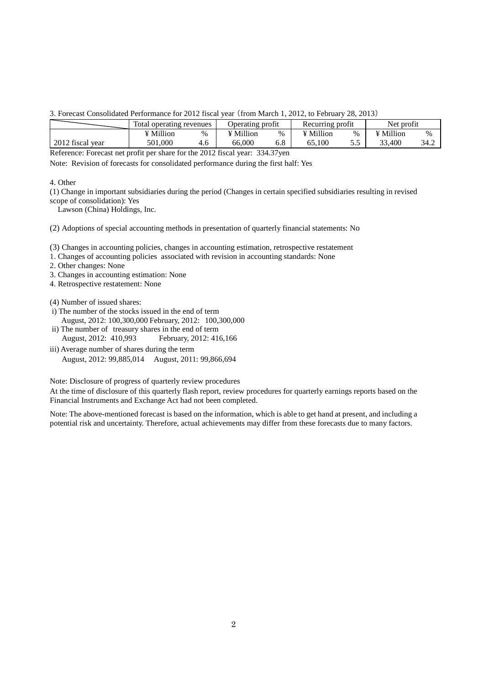3. Forecast Consolidated Performance for 2012 fiscal year (from March 1, 2012, to February 28, 2013)

|                  | Total operating revenues |     | Operating profit |      | Recurring profit |      | Net profit |      |
|------------------|--------------------------|-----|------------------|------|------------------|------|------------|------|
|                  | ¥ Million                | %   | ¥ Million        | $\%$ | ¥ Million        | $\%$ | ¥ Million  | $\%$ |
| 2012 fiscal year | 501.000                  | 4.6 | 66,000           | 6.8  | 100              |      | .400<br>ີ  | 34.2 |

Reference: Forecast net profit per share for the 2012 fiscal year: 334.37yen

Note: Revision of forecasts for consolidated performance during the first half: Yes

### 4. Other

(1) Change in important subsidiaries during the period (Changes in certain specified subsidiaries resulting in revised scope of consolidation): Yes

Lawson (China) Holdings, Inc.

(2) Adoptions of special accounting methods in presentation of quarterly financial statements: No

(3) Changes in accounting policies, changes in accounting estimation, retrospective restatement

1. Changes of accounting policies associated with revision in accounting standards: None

2. Other changes: None

- 3. Changes in accounting estimation: None
- 4. Retrospective restatement: None

(4) Number of issued shares:

- i) The number of the stocks issued in the end of term August, 2012: 100,300,000 February, 2012: 100,300,000
- ii) The number of treasury shares in the end of term August, 2012: 410,993 February, 2012: 416,166
- iii) Average number of shares during the term August, 2012: 99,885,014 August, 2011: 99,866,694

Note: Disclosure of progress of quarterly review procedures

At the time of disclosure of this quarterly flash report, review procedures for quarterly earnings reports based on the Financial Instruments and Exchange Act had not been completed.

Note: The above-mentioned forecast is based on the information, which is able to get hand at present, and including a potential risk and uncertainty. Therefore, actual achievements may differ from these forecasts due to many factors.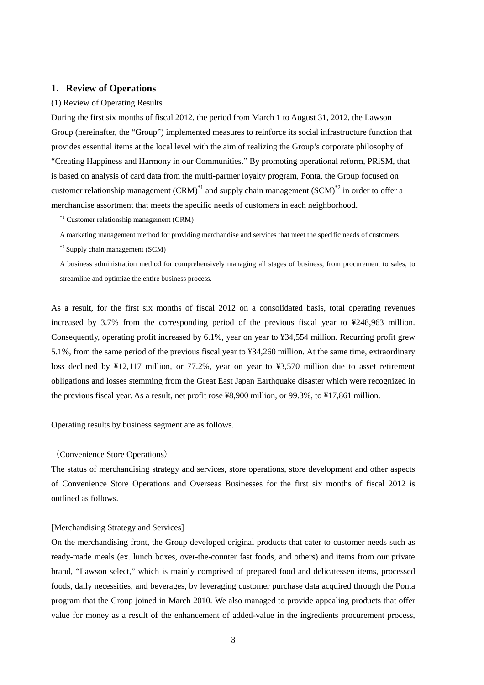### **1**.**Review of Operations**

#### (1) Review of Operating Results

During the first six months of fiscal 2012, the period from March 1 to August 31, 2012, the Lawson Group (hereinafter, the "Group") implemented measures to reinforce its social infrastructure function that provides essential items at the local level with the aim of realizing the Group's corporate philosophy of "Creating Happiness and Harmony in our Communities." By promoting operational reform, PRiSM, that is based on analysis of card data from the multi-partner loyalty program, Ponta, the Group focused on customer relationship management  $(CRM)^{1/4}$  and supply chain management  $(SCM)^{2/4}$  in order to offer a merchandise assortment that meets the specific needs of customers in each neighborhood.

\*1 Customer relationship management (CRM)

A marketing management method for providing merchandise and services that meet the specific needs of customers

\*2 Supply chain management (SCM)

A business administration method for comprehensively managing all stages of business, from procurement to sales, to streamline and optimize the entire business process.

As a result, for the first six months of fiscal 2012 on a consolidated basis, total operating revenues increased by 3.7% from the corresponding period of the previous fiscal year to ¥248,963 million. Consequently, operating profit increased by 6.1%, year on year to ¥34,554 million. Recurring profit grew 5.1%, from the same period of the previous fiscal year to ¥34,260 million. At the same time, extraordinary loss declined by ¥12,117 million, or 77.2%, year on year to ¥3,570 million due to asset retirement obligations and losses stemming from the Great East Japan Earthquake disaster which were recognized in the previous fiscal year. As a result, net profit rose ¥8,900 million, or 99.3%, to ¥17,861 million.

Operating results by business segment are as follows.

### (Convenience Store Operations)

The status of merchandising strategy and services, store operations, store development and other aspects of Convenience Store Operations and Overseas Businesses for the first six months of fiscal 2012 is outlined as follows.

### [Merchandising Strategy and Services]

On the merchandising front, the Group developed original products that cater to customer needs such as ready-made meals (ex. lunch boxes, over-the-counter fast foods, and others) and items from our private brand, "Lawson select," which is mainly comprised of prepared food and delicatessen items, processed foods, daily necessities, and beverages, by leveraging customer purchase data acquired through the Ponta program that the Group joined in March 2010. We also managed to provide appealing products that offer value for money as a result of the enhancement of added-value in the ingredients procurement process,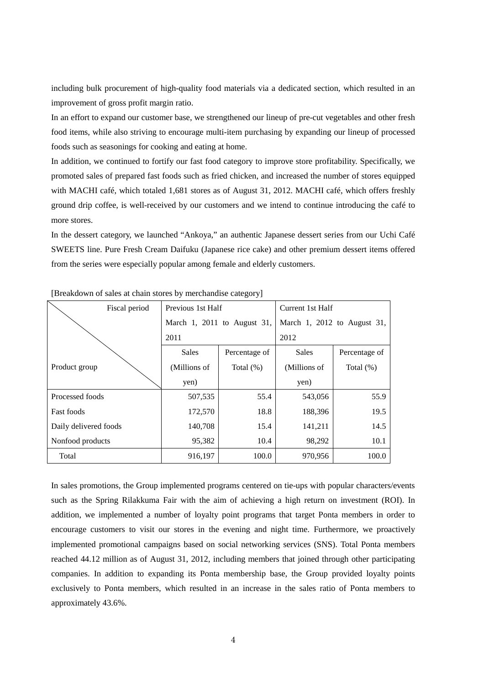including bulk procurement of high-quality food materials via a dedicated section, which resulted in an improvement of gross profit margin ratio.

In an effort to expand our customer base, we strengthened our lineup of pre-cut vegetables and other fresh food items, while also striving to encourage multi-item purchasing by expanding our lineup of processed foods such as seasonings for cooking and eating at home.

In addition, we continued to fortify our fast food category to improve store profitability. Specifically, we promoted sales of prepared fast foods such as fried chicken, and increased the number of stores equipped with MACHI café, which totaled 1,681 stores as of August 31, 2012. MACHI café, which offers freshly ground drip coffee, is well-received by our customers and we intend to continue introducing the café to more stores.

In the dessert category, we launched "Ankoya," an authentic Japanese dessert series from our Uchi Café SWEETS line. Pure Fresh Cream Daifuku (Japanese rice cake) and other premium dessert items offered from the series were especially popular among female and elderly customers.

| Fiscal period         | Previous 1st Half |                             | Current 1st Half            |               |  |
|-----------------------|-------------------|-----------------------------|-----------------------------|---------------|--|
|                       |                   | March 1, 2011 to August 31, | March 1, 2012 to August 31, |               |  |
|                       | 2011              |                             | 2012                        |               |  |
|                       | <b>Sales</b>      | Percentage of               | <b>Sales</b>                | Percentage of |  |
| Product group         | (Millions of      | Total $(\%)$                | (Millions of                | Total $(\%)$  |  |
|                       | yen)              |                             | yen)                        |               |  |
| Processed foods       | 507,535           | 55.4                        | 543,056                     | 55.9          |  |
| <b>Fast foods</b>     | 172,570           | 18.8                        | 188,396                     | 19.5          |  |
| Daily delivered foods | 140,708           | 15.4                        | 141,211                     | 14.5          |  |
| Nonfood products      | 95,382            | 10.4                        | 98,292                      | 10.1          |  |
| Total                 | 916,197           | 100.0                       | 970,956                     | 100.0         |  |

[Breakdown of sales at chain stores by merchandise category]

In sales promotions, the Group implemented programs centered on tie-ups with popular characters/events such as the Spring Rilakkuma Fair with the aim of achieving a high return on investment (ROI). In addition, we implemented a number of loyalty point programs that target Ponta members in order to encourage customers to visit our stores in the evening and night time. Furthermore, we proactively implemented promotional campaigns based on social networking services (SNS). Total Ponta members reached 44.12 million as of August 31, 2012, including members that joined through other participating companies. In addition to expanding its Ponta membership base, the Group provided loyalty points exclusively to Ponta members, which resulted in an increase in the sales ratio of Ponta members to approximately 43.6%.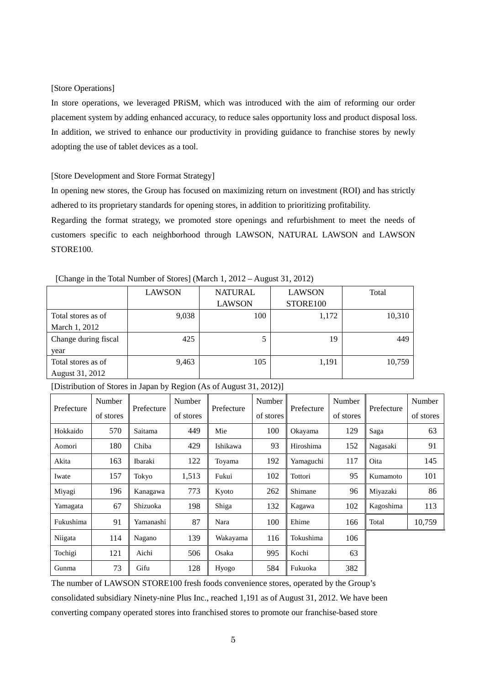### [Store Operations]

In store operations, we leveraged PRiSM, which was introduced with the aim of reforming our order placement system by adding enhanced accuracy, to reduce sales opportunity loss and product disposal loss. In addition, we strived to enhance our productivity in providing guidance to franchise stores by newly adopting the use of tablet devices as a tool.

### [Store Development and Store Format Strategy]

In opening new stores, the Group has focused on maximizing return on investment (ROI) and has strictly adhered to its proprietary standards for opening stores, in addition to prioritizing profitability.

Regarding the format strategy, we promoted store openings and refurbishment to meet the needs of customers specific to each neighborhood through LAWSON, NATURAL LAWSON and LAWSON STORE<sub>100</sub>.

|                      | LAWSON | <b>NATURAL</b> | <b>LAWSON</b> | Total  |
|----------------------|--------|----------------|---------------|--------|
|                      |        | <b>LAWSON</b>  | STORE100      |        |
| Total stores as of   | 9,038  | 100            | 1,172         | 10,310 |
| March 1, 2012        |        |                |               |        |
| Change during fiscal | 425    | 5              | 19            | 449    |
| year                 |        |                |               |        |
| Total stores as of   | 9,463  | 105            | 1,191         | 10,759 |
| August 31, 2012      |        |                |               |        |

[Change in the Total Number of Stores] (March 1, 2012 – August 31, 2012)

| Prefecture | Number    | Prefecture | Number    | Prefecture | Number    | Prefecture | Number    | Prefecture | Number    |
|------------|-----------|------------|-----------|------------|-----------|------------|-----------|------------|-----------|
|            | of stores |            | of stores |            | of stores |            | of stores |            | of stores |
| Hokkaido   | 570       | Saitama    | 449       | Mie        | 100       | Okayama    | 129       | Saga       | 63        |
| Aomori     | 180       | Chiba      | 429       | Ishikawa   | 93        | Hiroshima  | 152       | Nagasaki   | 91        |
| Akita      | 163       | Ibaraki    | 122       | Toyama     | 192       | Yamaguchi  | 117       | Oita       | 145       |
| Iwate      | 157       | Tokyo      | 1,513     | Fukui      | 102       | Tottori    | 95        | Kumamoto   | 101       |
| Miyagi     | 196       | Kanagawa   | 773       | Kyoto      | 262       | Shimane    | 96        | Miyazaki   | 86        |
| Yamagata   | 67        | Shizuoka   | 198       | Shiga      | 132       | Kagawa     | 102       | Kagoshima  | 113       |
| Fukushima  | 91        | Yamanashi  | 87        | Nara       | 100       | Ehime      | 166       | Total      | 10,759    |
| Niigata    | 114       | Nagano     | 139       | Wakayama   | 116       | Tokushima  | 106       |            |           |
| Tochigi    | 121       | Aichi      | 506       | Osaka      | 995       | Kochi      | 63        |            |           |
| Gunma      | 73        | Gifu       | 128       | Hyogo      | 584       | Fukuoka    | 382       |            |           |

[Distribution of Stores in Japan by Region (As of August 31, 2012)]

The number of LAWSON STORE100 fresh foods convenience stores, operated by the Group's consolidated subsidiary Ninety-nine Plus Inc., reached 1,191 as of August 31, 2012. We have been converting company operated stores into franchised stores to promote our franchise-based store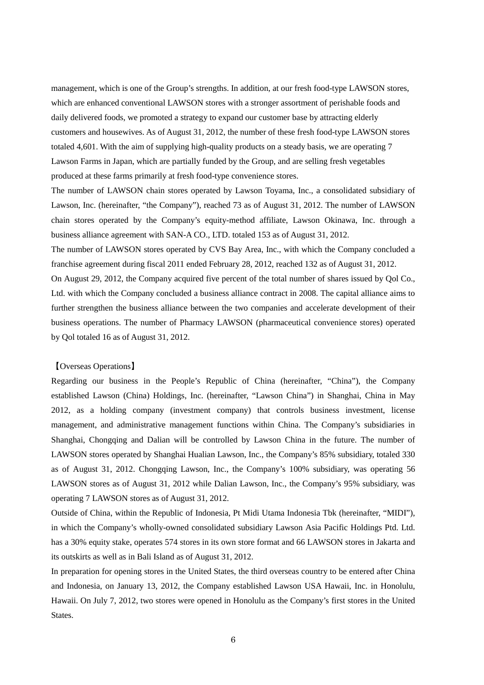management, which is one of the Group's strengths. In addition, at our fresh food-type LAWSON stores, which are enhanced conventional LAWSON stores with a stronger assortment of perishable foods and daily delivered foods, we promoted a strategy to expand our customer base by attracting elderly customers and housewives. As of August 31, 2012, the number of these fresh food-type LAWSON stores totaled 4,601. With the aim of supplying high-quality products on a steady basis, we are operating 7 Lawson Farms in Japan, which are partially funded by the Group, and are selling fresh vegetables produced at these farms primarily at fresh food-type convenience stores.

The number of LAWSON chain stores operated by Lawson Toyama, Inc., a consolidated subsidiary of Lawson, Inc. (hereinafter, "the Company"), reached 73 as of August 31, 2012. The number of LAWSON chain stores operated by the Company's equity-method affiliate, Lawson Okinawa, Inc. through a business alliance agreement with SAN-A CO., LTD. totaled 153 as of August 31, 2012.

The number of LAWSON stores operated by CVS Bay Area, Inc., with which the Company concluded a franchise agreement during fiscal 2011 ended February 28, 2012, reached 132 as of August 31, 2012.

On August 29, 2012, the Company acquired five percent of the total number of shares issued by Qol Co., Ltd. with which the Company concluded a business alliance contract in 2008. The capital alliance aims to further strengthen the business alliance between the two companies and accelerate development of their business operations. The number of Pharmacy LAWSON (pharmaceutical convenience stores) operated by Qol totaled 16 as of August 31, 2012.

### 【Overseas Operations】

Regarding our business in the People's Republic of China (hereinafter, "China"), the Company established Lawson (China) Holdings, Inc. (hereinafter, "Lawson China") in Shanghai, China in May 2012, as a holding company (investment company) that controls business investment, license management, and administrative management functions within China. The Company's subsidiaries in Shanghai, Chongqing and Dalian will be controlled by Lawson China in the future. The number of LAWSON stores operated by Shanghai Hualian Lawson, Inc., the Company's 85% subsidiary, totaled 330 as of August 31, 2012. Chongqing Lawson, Inc., the Company's 100% subsidiary, was operating 56 LAWSON stores as of August 31, 2012 while Dalian Lawson, Inc., the Company's 95% subsidiary, was operating 7 LAWSON stores as of August 31, 2012.

Outside of China, within the Republic of Indonesia, Pt Midi Utama Indonesia Tbk (hereinafter, "MIDI"), in which the Company's wholly-owned consolidated subsidiary Lawson Asia Pacific Holdings Ptd. Ltd. has a 30% equity stake, operates 574 stores in its own store format and 66 LAWSON stores in Jakarta and its outskirts as well as in Bali Island as of August 31, 2012.

In preparation for opening stores in the United States, the third overseas country to be entered after China and Indonesia, on January 13, 2012, the Company established Lawson USA Hawaii, Inc. in Honolulu, Hawaii. On July 7, 2012, two stores were opened in Honolulu as the Company's first stores in the United States.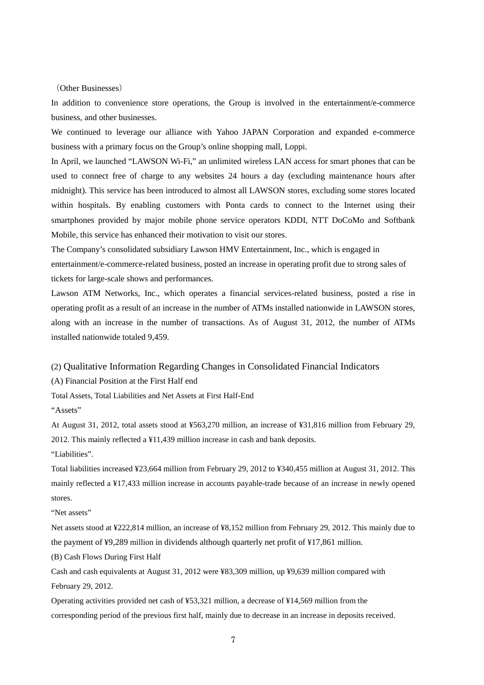(Other Businesses)

In addition to convenience store operations, the Group is involved in the entertainment/e-commerce business, and other businesses.

We continued to leverage our alliance with Yahoo JAPAN Corporation and expanded e-commerce business with a primary focus on the Group's online shopping mall, Loppi.

In April, we launched "LAWSON Wi-Fi," an unlimited wireless LAN access for smart phones that can be used to connect free of charge to any websites 24 hours a day (excluding maintenance hours after midnight). This service has been introduced to almost all LAWSON stores, excluding some stores located within hospitals. By enabling customers with Ponta cards to connect to the Internet using their smartphones provided by major mobile phone service operators KDDI, NTT DoCoMo and Softbank Mobile, this service has enhanced their motivation to visit our stores.

The Company's consolidated subsidiary Lawson HMV Entertainment, Inc., which is engaged in entertainment/e-commerce-related business, posted an increase in operating profit due to strong sales of tickets for large-scale shows and performances.

Lawson ATM Networks, Inc., which operates a financial services-related business, posted a rise in operating profit as a result of an increase in the number of ATMs installed nationwide in LAWSON stores, along with an increase in the number of transactions. As of August 31, 2012, the number of ATMs installed nationwide totaled 9,459.

(2) Qualitative Information Regarding Changes in Consolidated Financial Indicators

(A) Financial Position at the First Half end

Total Assets, Total Liabilities and Net Assets at First Half-End

"Assets"

At August 31, 2012, total assets stood at ¥563,270 million, an increase of ¥31,816 million from February 29, 2012. This mainly reflected a ¥11,439 million increase in cash and bank deposits.

"Liabilities".

Total liabilities increased ¥23,664 million from February 29, 2012 to ¥340,455 million at August 31, 2012. This mainly reflected a ¥17,433 million increase in accounts payable-trade because of an increase in newly opened stores.

"Net assets"

Net assets stood at ¥222,814 million, an increase of ¥8,152 million from February 29, 2012. This mainly due to the payment of ¥9,289 million in dividends although quarterly net profit of ¥17,861 million.

(B) Cash Flows During First Half

Cash and cash equivalents at August 31, 2012 were ¥83,309 million, up ¥9,639 million compared with February 29, 2012.

Operating activities provided net cash of ¥53,321 million, a decrease of ¥14,569 million from the corresponding period of the previous first half, mainly due to decrease in an increase in deposits received.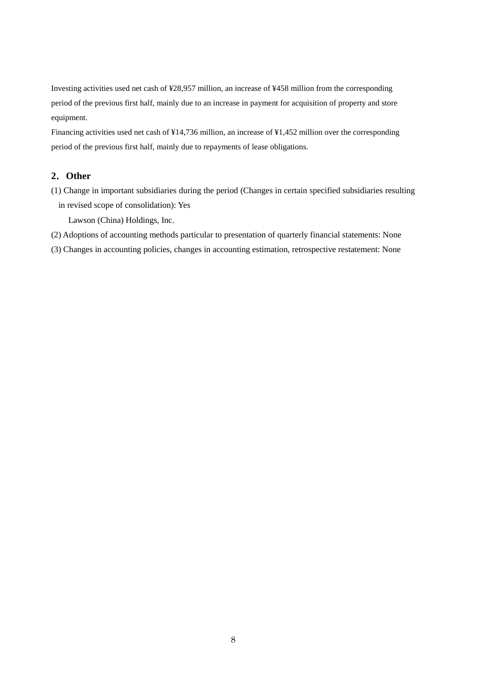Investing activities used net cash of ¥28,957 million, an increase of ¥458 million from the corresponding period of the previous first half, mainly due to an increase in payment for acquisition of property and store equipment.

Financing activities used net cash of ¥14,736 million, an increase of ¥1,452 million over the corresponding period of the previous first half, mainly due to repayments of lease obligations.

## **2**.**Other**

(1) Change in important subsidiaries during the period (Changes in certain specified subsidiaries resulting in revised scope of consolidation): Yes

Lawson (China) Holdings, Inc.

- (2) Adoptions of accounting methods particular to presentation of quarterly financial statements: None
- (3) Changes in accounting policies, changes in accounting estimation, retrospective restatement: None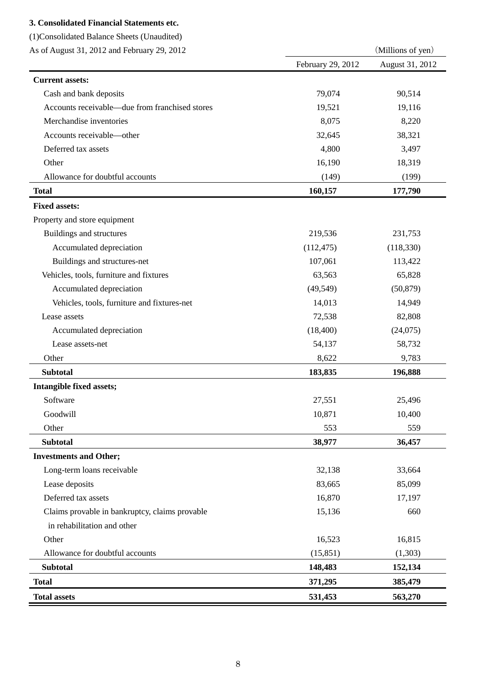# **3. Consolidated Financial Statements etc.**

(1)Consolidated Balance Sheets (Unaudited)

| As of August 31, 2012 and February 29, 2012 |  |  |
|---------------------------------------------|--|--|
|                                             |  |  |

| As of August 31, 2012 and February 29, 2012    | (Millions of yen) |                 |  |  |
|------------------------------------------------|-------------------|-----------------|--|--|
|                                                | February 29, 2012 | August 31, 2012 |  |  |
| <b>Current assets:</b>                         |                   |                 |  |  |
| Cash and bank deposits                         | 79,074            | 90,514          |  |  |
| Accounts receivable—due from franchised stores | 19,521            | 19,116          |  |  |
| Merchandise inventories                        | 8,075             | 8,220           |  |  |
| Accounts receivable-other                      | 32,645            | 38,321          |  |  |
| Deferred tax assets                            | 4,800             | 3,497           |  |  |
| Other                                          | 16,190            | 18,319          |  |  |
| Allowance for doubtful accounts                | (149)             | (199)           |  |  |
| <b>Total</b>                                   | 160,157           | 177,790         |  |  |
| <b>Fixed assets:</b>                           |                   |                 |  |  |
| Property and store equipment                   |                   |                 |  |  |
| Buildings and structures                       | 219,536           | 231,753         |  |  |
| Accumulated depreciation                       | (112, 475)        | (118, 330)      |  |  |
| Buildings and structures-net                   | 107,061           | 113,422         |  |  |
| Vehicles, tools, furniture and fixtures        | 63,563            | 65,828          |  |  |
| Accumulated depreciation                       | (49, 549)         | (50, 879)       |  |  |
| Vehicles, tools, furniture and fixtures-net    | 14,013            | 14,949          |  |  |
| Lease assets                                   | 72,538            | 82,808          |  |  |
| Accumulated depreciation                       | (18, 400)         | (24,075)        |  |  |
| Lease assets-net                               | 54,137            | 58,732          |  |  |
| Other                                          | 8,622             | 9,783           |  |  |
| <b>Subtotal</b>                                | 183,835           | 196,888         |  |  |
| Intangible fixed assets;                       |                   |                 |  |  |
| Software                                       | 27,551            | 25,496          |  |  |
| Goodwill                                       | 10,871            | 10,400          |  |  |
| Other                                          | 553               | 559             |  |  |
| <b>Subtotal</b>                                | 38,977            | 36,457          |  |  |
| <b>Investments and Other;</b>                  |                   |                 |  |  |
| Long-term loans receivable                     | 32,138            | 33,664          |  |  |
| Lease deposits                                 | 83,665            | 85,099          |  |  |
| Deferred tax assets                            | 16,870            | 17,197          |  |  |
| Claims provable in bankruptcy, claims provable | 15,136            | 660             |  |  |
| in rehabilitation and other                    |                   |                 |  |  |
| Other                                          | 16,523            | 16,815          |  |  |
| Allowance for doubtful accounts                | (15, 851)         | (1,303)         |  |  |
| <b>Subtotal</b>                                | 148,483           | 152,134         |  |  |
| <b>Total</b>                                   | 371,295           | 385,479         |  |  |
| <b>Total assets</b>                            | 531,453           | 563,270         |  |  |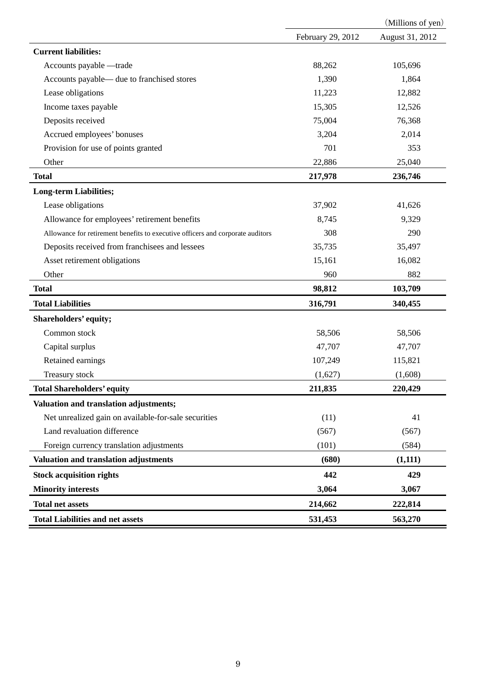|                                                                                |                   | (Millions of yen) |
|--------------------------------------------------------------------------------|-------------------|-------------------|
|                                                                                | February 29, 2012 | August 31, 2012   |
| <b>Current liabilities:</b>                                                    |                   |                   |
| Accounts payable -trade                                                        | 88,262            | 105,696           |
| Accounts payable— due to franchised stores                                     | 1,390             | 1,864             |
| Lease obligations                                                              | 11,223            | 12,882            |
| Income taxes payable                                                           | 15,305            | 12,526            |
| Deposits received                                                              | 75,004            | 76,368            |
| Accrued employees' bonuses                                                     | 3,204             | 2,014             |
| Provision for use of points granted                                            | 701               | 353               |
| Other                                                                          | 22,886            | 25,040            |
| <b>Total</b>                                                                   | 217,978           | 236,746           |
| <b>Long-term Liabilities;</b>                                                  |                   |                   |
| Lease obligations                                                              | 37,902            | 41,626            |
| Allowance for employees' retirement benefits                                   | 8,745             | 9,329             |
| Allowance for retirement benefits to executive officers and corporate auditors | 308               | 290               |
| Deposits received from franchisees and lessees                                 | 35,735            | 35,497            |
| Asset retirement obligations                                                   | 15,161            | 16,082            |
| Other                                                                          | 960               | 882               |
| <b>Total</b>                                                                   | 98,812            | 103,709           |
| <b>Total Liabilities</b>                                                       | 316,791           | 340,455           |
| Shareholders' equity;                                                          |                   |                   |
| Common stock                                                                   | 58,506            | 58,506            |
| Capital surplus                                                                | 47,707            | 47,707            |
| Retained earnings                                                              | 107,249           | 115,821           |
| Treasury stock                                                                 | (1,627)           | (1,608)           |
| <b>Total Shareholders' equity</b>                                              | 211,835           | 220,429           |
| Valuation and translation adjustments;                                         |                   |                   |
| Net unrealized gain on available-for-sale securities                           | (11)              | 41                |
| Land revaluation difference                                                    | (567)             | (567)             |
| Foreign currency translation adjustments                                       | (101)             | (584)             |
| Valuation and translation adjustments                                          | (680)             | (1,111)           |
| <b>Stock acquisition rights</b>                                                | 442               | 429               |
| <b>Minority interests</b>                                                      | 3,064             | 3,067             |
| <b>Total net assets</b>                                                        | 214,662           | 222,814           |
| <b>Total Liabilities and net assets</b>                                        | 531,453           | 563,270           |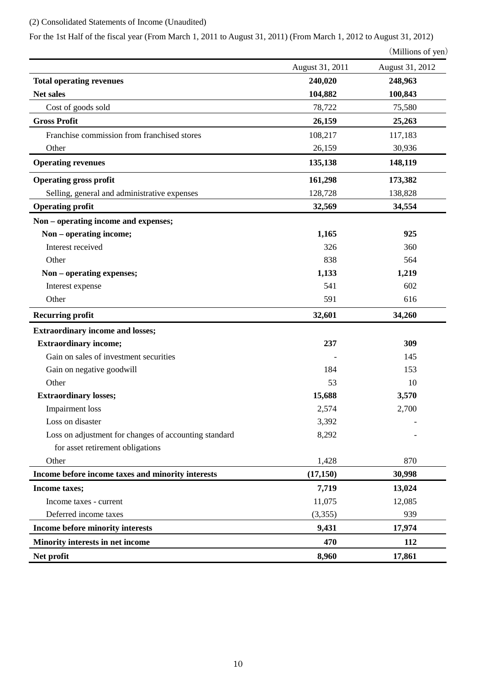# (2) Consolidated Statements of Income (Unaudited)

For the 1st Half of the fiscal year (From March 1, 2011 to August 31, 2011) (From March 1, 2012 to August 31, 2012)

```
(Millions of yen)
```

|                                                       | August 31, 2011 | August 31, 2012 |
|-------------------------------------------------------|-----------------|-----------------|
| <b>Total operating revenues</b>                       | 240,020         | 248,963         |
| Net sales                                             | 104,882         | 100,843         |
| Cost of goods sold                                    | 78,722          | 75,580          |
| <b>Gross Profit</b>                                   | 26,159          | 25,263          |
| Franchise commission from franchised stores           | 108,217         | 117,183         |
| Other                                                 | 26,159          | 30,936          |
| <b>Operating revenues</b>                             | 135,138         | 148,119         |
| <b>Operating gross profit</b>                         | 161,298         | 173,382         |
| Selling, general and administrative expenses          | 128,728         | 138,828         |
| <b>Operating profit</b>                               | 32,569          | 34,554          |
| Non – operating income and expenses;                  |                 |                 |
| Non - operating income;                               | 1,165           | 925             |
| Interest received                                     | 326             | 360             |
| Other                                                 | 838             | 564             |
| Non - operating expenses;                             | 1,133           | 1,219           |
| Interest expense                                      | 541             | 602             |
| Other                                                 | 591             | 616             |
| <b>Recurring profit</b>                               | 32,601          | 34,260          |
| <b>Extraordinary income and losses;</b>               |                 |                 |
| <b>Extraordinary income;</b>                          | 237             | 309             |
| Gain on sales of investment securities                |                 | 145             |
| Gain on negative goodwill                             | 184             | 153             |
| Other                                                 | 53              | 10              |
| <b>Extraordinary losses;</b>                          | 15,688          | 3,570           |
| Impairment loss                                       | 2,574           | 2,700           |
| Loss on disaster                                      | 3,392           |                 |
| Loss on adjustment for changes of accounting standard | 8,292           |                 |
| for asset retirement obligations                      |                 |                 |
| Other                                                 | 1,428           | 870             |
| Income before income taxes and minority interests     | (17, 150)       | 30,998          |
| Income taxes;                                         | 7,719           | 13,024          |
| Income taxes - current                                | 11,075          | 12,085          |
| Deferred income taxes                                 | (3,355)         | 939             |
| Income before minority interests                      | 9,431           | 17,974          |
| Minority interests in net income                      | 470             | 112             |
| Net profit                                            | 8,960           | 17,861          |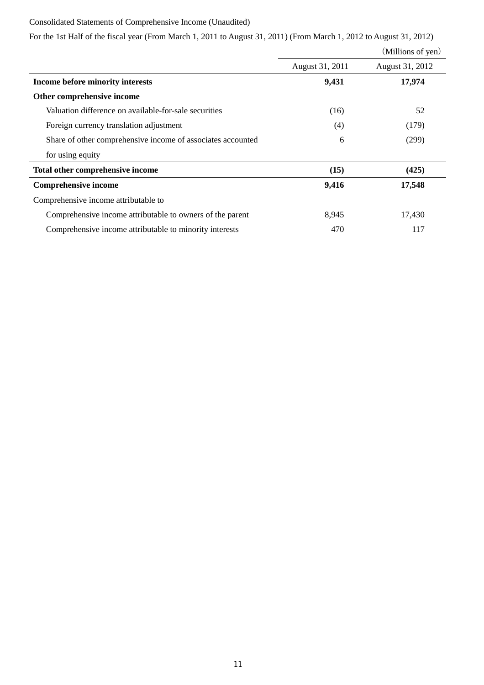## Consolidated Statements of Comprehensive Income (Unaudited)

For the 1st Half of the fiscal year (From March 1, 2011 to August 31, 2011) (From March 1, 2012 to August 31, 2012)

|                                                             |                 | (Millions of yen) |
|-------------------------------------------------------------|-----------------|-------------------|
|                                                             | August 31, 2011 | August 31, 2012   |
| Income before minority interests                            | 9,431           | 17,974            |
| Other comprehensive income                                  |                 |                   |
| Valuation difference on available-for-sale securities       | (16)            | 52                |
| Foreign currency translation adjustment                     | (4)             | (179)             |
| Share of other comprehensive income of associates accounted | 6               | (299)             |
| for using equity                                            |                 |                   |
| Total other comprehensive income                            | (15)            | (425)             |
| <b>Comprehensive income</b>                                 | 9,416           | 17,548            |
| Comprehensive income attributable to                        |                 |                   |
| Comprehensive income attributable to owners of the parent   | 8,945           | 17,430            |
| Comprehensive income attributable to minority interests     | 470             | 117               |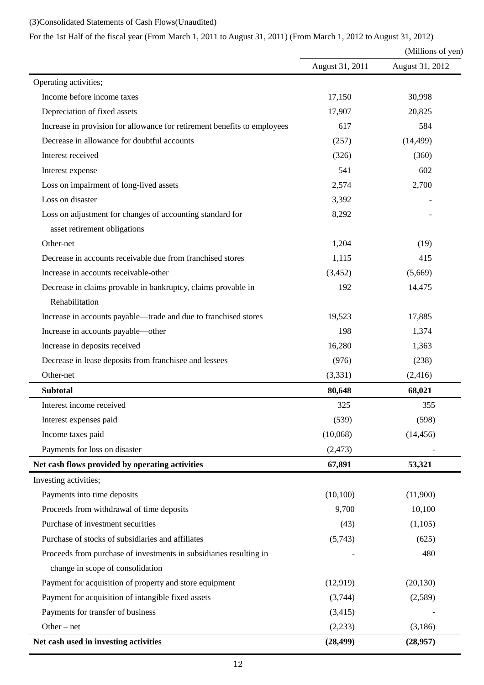## (3)Consolidated Statements of Cash Flows(Unaudited)

# For the 1st Half of the fiscal year (From March 1, 2011 to August 31, 2011) (From March 1, 2012 to August 31, 2012)

|                                                                          | (Millions of yen) |                 |
|--------------------------------------------------------------------------|-------------------|-----------------|
|                                                                          | August 31, 2011   | August 31, 2012 |
| Operating activities;                                                    |                   |                 |
| Income before income taxes                                               | 17,150            | 30,998          |
| Depreciation of fixed assets                                             | 17,907            | 20,825          |
| Increase in provision for allowance for retirement benefits to employees | 617               | 584             |
| Decrease in allowance for doubtful accounts                              | (257)             | (14, 499)       |
| Interest received                                                        | (326)             | (360)           |
| Interest expense                                                         | 541               | 602             |
| Loss on impairment of long-lived assets                                  | 2,574             | 2,700           |
| Loss on disaster                                                         | 3,392             |                 |
| Loss on adjustment for changes of accounting standard for                | 8,292             |                 |
| asset retirement obligations                                             |                   |                 |
| Other-net                                                                | 1,204             | (19)            |
| Decrease in accounts receivable due from franchised stores               | 1,115             | 415             |
| Increase in accounts receivable-other                                    | (3, 452)          | (5,669)         |
| Decrease in claims provable in bankruptcy, claims provable in            | 192               | 14,475          |
| Rehabilitation                                                           |                   |                 |
| Increase in accounts payable—trade and due to franchised stores          | 19,523            | 17,885          |
| Increase in accounts payable—other                                       | 198               | 1,374           |
| Increase in deposits received                                            | 16,280            | 1,363           |
| Decrease in lease deposits from franchisee and lessees                   | (976)             | (238)           |
| Other-net                                                                | (3,331)           | (2, 416)        |
| <b>Subtotal</b>                                                          | 80,648            | 68,021          |
| Interest income received                                                 | 325               | 355             |
| Interest expenses paid                                                   | (539)             | (598)           |
| Income taxes paid                                                        | (10,068)          | (14, 456)       |
| Payments for loss on disaster                                            | (2, 473)          |                 |
| Net cash flows provided by operating activities                          | 67,891            | 53,321          |
| Investing activities;                                                    |                   |                 |
| Payments into time deposits                                              | (10,100)          | (11,900)        |
| Proceeds from withdrawal of time deposits                                | 9,700             | 10,100          |
| Purchase of investment securities                                        | (43)              | (1,105)         |
| Purchase of stocks of subsidiaries and affiliates                        | (5,743)           | (625)           |
| Proceeds from purchase of investments in subsidiaries resulting in       |                   | 480             |
| change in scope of consolidation                                         |                   |                 |
| Payment for acquisition of property and store equipment                  | (12,919)          | (20, 130)       |
| Payment for acquisition of intangible fixed assets                       | (3,744)           | (2,589)         |
| Payments for transfer of business                                        | (3,415)           |                 |
| Other $-$ net                                                            | (2,233)           | (3,186)         |
| Net cash used in investing activities                                    | (28, 499)         | (28,957)        |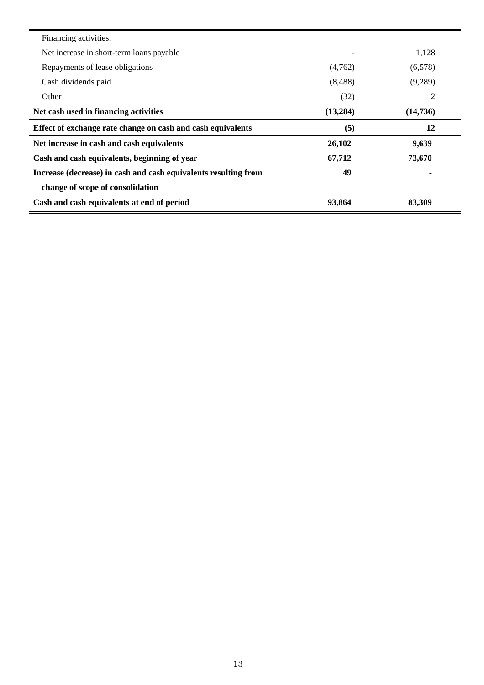| Financing activities;                                           |           |          |
|-----------------------------------------------------------------|-----------|----------|
| Net increase in short-term loans payable                        |           | 1,128    |
| Repayments of lease obligations                                 | (4,762)   | (6,578)  |
| Cash dividends paid                                             | (8,488)   | (9,289)  |
| Other                                                           | (32)      | 2        |
| Net cash used in financing activities                           | (13, 284) | (14,736) |
| Effect of exchange rate change on cash and cash equivalents     | (5)       | 12       |
| Net increase in cash and cash equivalents                       | 26,102    | 9,639    |
|                                                                 |           |          |
| Cash and cash equivalents, beginning of year                    | 67,712    | 73,670   |
| Increase (decrease) in cash and cash equivalents resulting from | 49        |          |
| change of scope of consolidation                                |           |          |